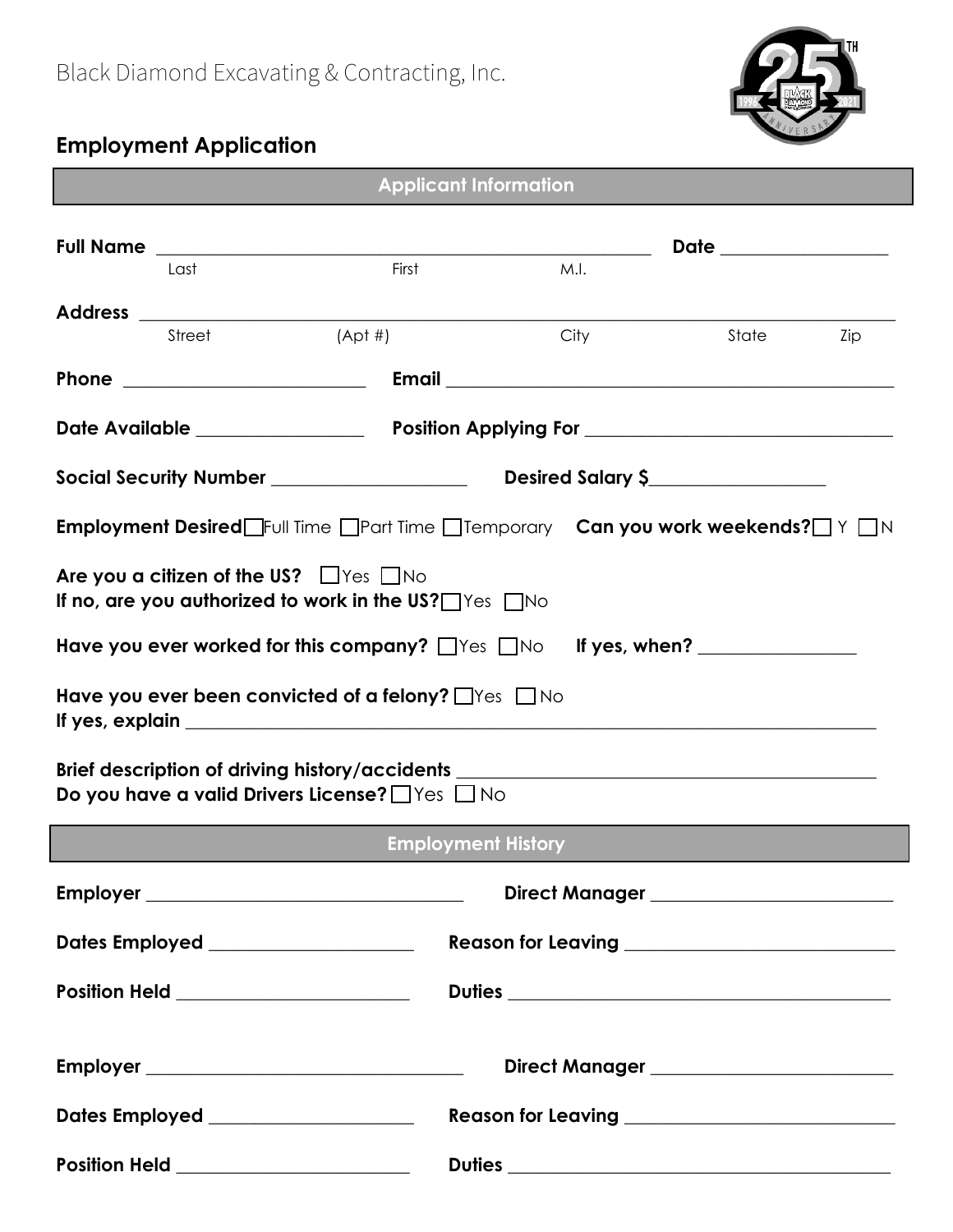

## **Employment Application**

| <b>Applicant Information</b>                                                                                                    |                                       |       |                                                    |      |                                                |                      |  |
|---------------------------------------------------------------------------------------------------------------------------------|---------------------------------------|-------|----------------------------------------------------|------|------------------------------------------------|----------------------|--|
|                                                                                                                                 | Last                                  | First |                                                    | M.I. |                                                | Date _______________ |  |
|                                                                                                                                 | $(Apt \#)$<br>Street                  |       |                                                    | City | State                                          | Zip                  |  |
|                                                                                                                                 |                                       |       |                                                    |      |                                                |                      |  |
|                                                                                                                                 |                                       |       |                                                    |      |                                                |                      |  |
|                                                                                                                                 |                                       |       |                                                    |      |                                                |                      |  |
| Employment Desired Full Time <b>Than Time Themporary</b> Can you work weekends? The Th                                          |                                       |       |                                                    |      |                                                |                      |  |
| Are you a citizen of the US? $\Box$ Yes $\Box$ No<br>If no, are you authorized to work in the US? $\Box$ Yes $\Box$ No          |                                       |       |                                                    |      |                                                |                      |  |
| Have you ever worked for this company? Thes Tho If yes, when?                                                                   |                                       |       |                                                    |      |                                                |                      |  |
| Have you ever been convicted of a felony? $\Box$ Yes $\Box$ No                                                                  |                                       |       |                                                    |      |                                                |                      |  |
| Brief description of driving history/accidents _________________________________<br>Do you have a valid Drivers License? Ves No |                                       |       |                                                    |      |                                                |                      |  |
| <b>Employment History</b>                                                                                                       |                                       |       |                                                    |      |                                                |                      |  |
|                                                                                                                                 |                                       |       |                                                    |      | Direct Manager _____________________           |                      |  |
|                                                                                                                                 | Dates Employed ___________________    |       |                                                    |      | Reason for Leaving ___________________________ |                      |  |
|                                                                                                                                 | Position Held _______________________ |       |                                                    |      | Duties                                         |                      |  |
|                                                                                                                                 |                                       |       |                                                    |      | Direct Manager ______________________          |                      |  |
|                                                                                                                                 | Dates Employed ___________________    |       | Reason for Leaving _______________________________ |      |                                                |                      |  |
|                                                                                                                                 | Position Held ______________________  |       |                                                    |      | <b>Duties</b>                                  |                      |  |